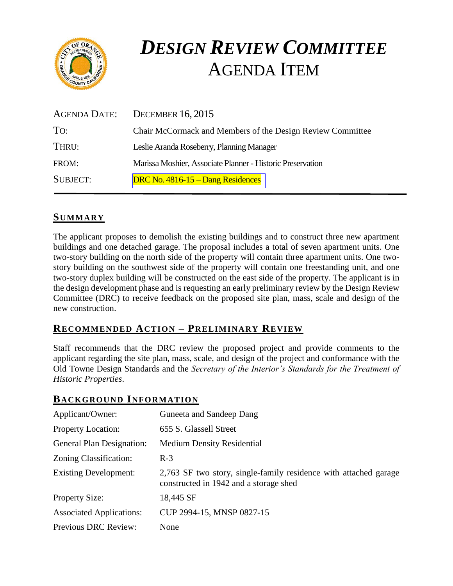

# *DESIGN REVIEW COMMITTEE* AGENDA ITEM

| <b>AGENDA DATE:</b> | <b>DECEMBER 16, 2015</b>                                   |
|---------------------|------------------------------------------------------------|
| To:                 | Chair McCormack and Members of the Design Review Committee |
| THRU:               | Leslie Aranda Roseberry, Planning Manager                  |
| FROM:               | Marissa Moshier, Associate Planner - Historic Preservation |
| <b>SUBJECT:</b>     | DRC No. $4816 - 15 -$ Dang Residences                      |

# **SUMMARY**

The applicant proposes to demolish the existing buildings and to construct three new apartment buildings and one detached garage. The proposal includes a total of seven apartment units. One two-story building on the north side of the property will contain three apartment units. One twostory building on the southwest side of the property will contain one freestanding unit, and one two-story duplex building will be constructed on the east side of the property. The applicant is in the design development phase and is requesting an early preliminary review by the Design Review Committee (DRC) to receive feedback on the proposed site plan, mass, scale and design of the new construction.

### **RECOMMENDED ACTION – PRELIMINARY REVIEW**

Staff recommends that the DRC review the proposed project and provide comments to the applicant regarding the site plan, mass, scale, and design of the project and conformance with the Old Towne Design Standards and the *Secretary of the Interior's Standards for the Treatment of Historic Properties*.

#### **BACKGROUND INFORMATION**

| Applicant/Owner:                 | Guneeta and Sandeep Dang                                                                                   |
|----------------------------------|------------------------------------------------------------------------------------------------------------|
| <b>Property Location:</b>        | 655 S. Glassell Street                                                                                     |
| <b>General Plan Designation:</b> | <b>Medium Density Residential</b>                                                                          |
| Zoning Classification:           | $R-3$                                                                                                      |
| <b>Existing Development:</b>     | 2,763 SF two story, single-family residence with attached garage<br>constructed in 1942 and a storage shed |
| <b>Property Size:</b>            | 18,445 SF                                                                                                  |
| <b>Associated Applications:</b>  | CUP 2994-15, MNSP 0827-15                                                                                  |
| Previous DRC Review:             | None                                                                                                       |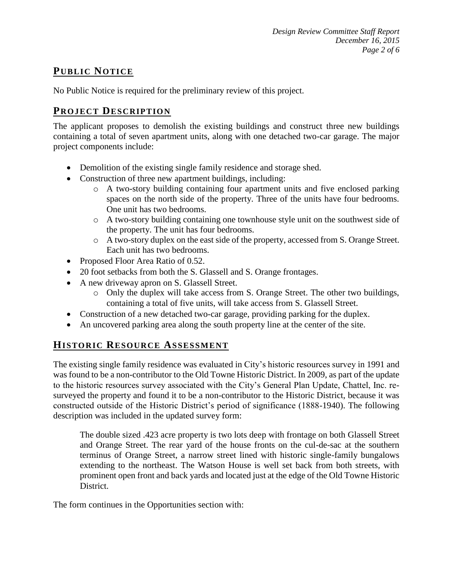## **PUB LIC NOTICE**

No Public Notice is required for the preliminary review of this project.

## **PROJECT DESCRIP TION**

The applicant proposes to demolish the existing buildings and construct three new buildings containing a total of seven apartment units, along with one detached two-car garage. The major project components include:

- Demolition of the existing single family residence and storage shed.
- Construction of three new apartment buildings, including:
	- o A two-story building containing four apartment units and five enclosed parking spaces on the north side of the property. Three of the units have four bedrooms. One unit has two bedrooms.
	- o A two-story building containing one townhouse style unit on the southwest side of the property. The unit has four bedrooms.
	- o A two-story duplex on the east side of the property, accessed from S. Orange Street. Each unit has two bedrooms.
- Proposed Floor Area Ratio of 0.52.
- 20 foot setbacks from both the S. Glassell and S. Orange frontages.
- A new driveway apron on S. Glassell Street.
	- o Only the duplex will take access from S. Orange Street. The other two buildings, containing a total of five units, will take access from S. Glassell Street.
- Construction of a new detached two-car garage, providing parking for the duplex.
- An uncovered parking area along the south property line at the center of the site.

# **HISTORIC RESOURCE ASSESSMENT**

The existing single family residence was evaluated in City's historic resources survey in 1991 and was found to be a non-contributor to the Old Towne Historic District. In 2009, as part of the update to the historic resources survey associated with the City's General Plan Update, Chattel, Inc. resurveyed the property and found it to be a non-contributor to the Historic District, because it was constructed outside of the Historic District's period of significance (1888-1940). The following description was included in the updated survey form:

The double sized .423 acre property is two lots deep with frontage on both Glassell Street and Orange Street. The rear yard of the house fronts on the cul-de-sac at the southern terminus of Orange Street, a narrow street lined with historic single-family bungalows extending to the northeast. The Watson House is well set back from both streets, with prominent open front and back yards and located just at the edge of the Old Towne Historic District.

The form continues in the Opportunities section with: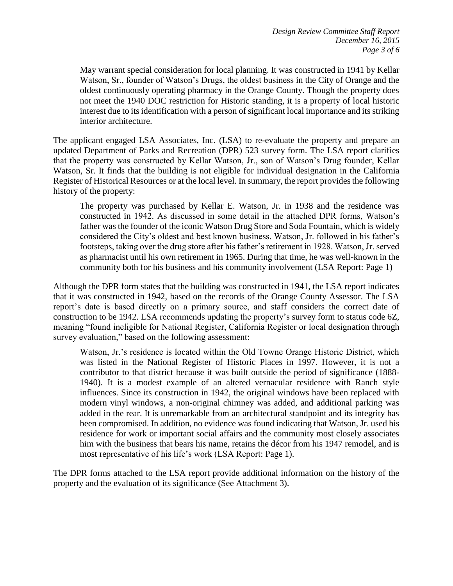May warrant special consideration for local planning. It was constructed in 1941 by Kellar Watson, Sr., founder of Watson's Drugs, the oldest business in the City of Orange and the oldest continuously operating pharmacy in the Orange County. Though the property does not meet the 1940 DOC restriction for Historic standing, it is a property of local historic interest due to its identification with a person of significant local importance and its striking interior architecture.

The applicant engaged LSA Associates, Inc. (LSA) to re-evaluate the property and prepare an updated Department of Parks and Recreation (DPR) 523 survey form. The LSA report clarifies that the property was constructed by Kellar Watson, Jr., son of Watson's Drug founder, Kellar Watson, Sr. It finds that the building is not eligible for individual designation in the California Register of Historical Resources or at the local level. In summary, the report provides the following history of the property:

The property was purchased by Kellar E. Watson, Jr. in 1938 and the residence was constructed in 1942. As discussed in some detail in the attached DPR forms, Watson's father was the founder of the iconic Watson Drug Store and Soda Fountain, which is widely considered the City's oldest and best known business. Watson, Jr. followed in his father's footsteps, taking over the drug store after his father's retirement in 1928. Watson, Jr. served as pharmacist until his own retirement in 1965. During that time, he was well-known in the community both for his business and his community involvement (LSA Report: Page 1)

Although the DPR form states that the building was constructed in 1941, the LSA report indicates that it was constructed in 1942, based on the records of the Orange County Assessor. The LSA report's date is based directly on a primary source, and staff considers the correct date of construction to be 1942. LSA recommends updating the property's survey form to status code 6Z, meaning "found ineligible for National Register, California Register or local designation through survey evaluation," based on the following assessment:

Watson, Jr.'s residence is located within the Old Towne Orange Historic District, which was listed in the National Register of Historic Places in 1997. However, it is not a contributor to that district because it was built outside the period of significance (1888- 1940). It is a modest example of an altered vernacular residence with Ranch style influences. Since its construction in 1942, the original windows have been replaced with modern vinyl windows, a non-original chimney was added, and additional parking was added in the rear. It is unremarkable from an architectural standpoint and its integrity has been compromised. In addition, no evidence was found indicating that Watson, Jr. used his residence for work or important social affairs and the community most closely associates him with the business that bears his name, retains the décor from his 1947 remodel, and is most representative of his life's work (LSA Report: Page 1).

The DPR forms attached to the LSA report provide additional information on the history of the property and the evaluation of its significance (See Attachment 3).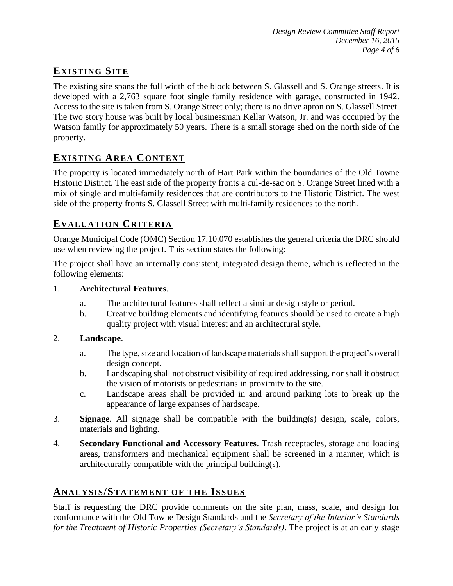## **EXISTING SITE**

The existing site spans the full width of the block between S. Glassell and S. Orange streets. It is developed with a 2,763 square foot single family residence with garage, constructed in 1942. Access to the site is taken from S. Orange Street only; there is no drive apron on S. Glassell Street. The two story house was built by local businessman Kellar Watson, Jr. and was occupied by the Watson family for approximately 50 years. There is a small storage shed on the north side of the property.

# **EXISTING AREA CONTEXT**

The property is located immediately north of Hart Park within the boundaries of the Old Towne Historic District. The east side of the property fronts a cul-de-sac on S. Orange Street lined with a mix of single and multi-family residences that are contributors to the Historic District. The west side of the property fronts S. Glassell Street with multi-family residences to the north.

### **EVALUATION CRITERIA**

Orange Municipal Code (OMC) Section 17.10.070 establishes the general criteria the DRC should use when reviewing the project. This section states the following:

The project shall have an internally consistent, integrated design theme, which is reflected in the following elements:

#### 1. **Architectural Features**.

- a. The architectural features shall reflect a similar design style or period.
- b. Creative building elements and identifying features should be used to create a high quality project with visual interest and an architectural style.

#### 2. **Landscape**.

- a. The type, size and location of landscape materials shall support the project's overall design concept.
- b. Landscaping shall not obstruct visibility of required addressing, nor shall it obstruct the vision of motorists or pedestrians in proximity to the site.
- c. Landscape areas shall be provided in and around parking lots to break up the appearance of large expanses of hardscape.
- 3. **Signage**. All signage shall be compatible with the building(s) design, scale, colors, materials and lighting.
- 4. **Secondary Functional and Accessory Features**. Trash receptacles, storage and loading areas, transformers and mechanical equipment shall be screened in a manner, which is architecturally compatible with the principal building(s).

# **ANALY SIS/STATEMENT OF THE ISSUES**

Staff is requesting the DRC provide comments on the site plan, mass, scale, and design for conformance with the Old Towne Design Standards and the *Secretary of the Interior's Standards for the Treatment of Historic Properties (Secretary's Standards)*. The project is at an early stage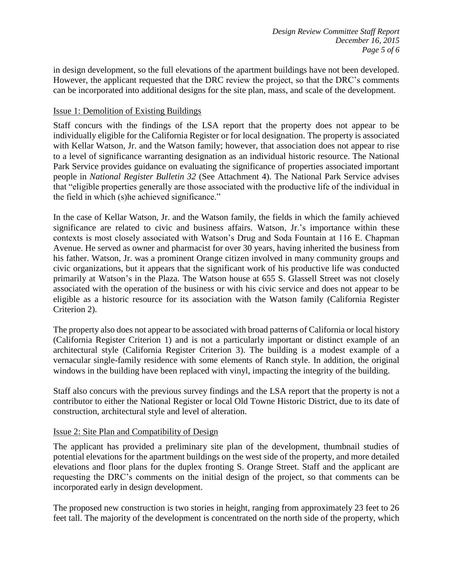in design development, so the full elevations of the apartment buildings have not been developed. However, the applicant requested that the DRC review the project, so that the DRC's comments can be incorporated into additional designs for the site plan, mass, and scale of the development.

#### Issue 1: Demolition of Existing Buildings

Staff concurs with the findings of the LSA report that the property does not appear to be individually eligible for the California Register or for local designation. The property is associated with Kellar Watson, Jr. and the Watson family; however, that association does not appear to rise to a level of significance warranting designation as an individual historic resource. The National Park Service provides guidance on evaluating the significance of properties associated important people in *National Register Bulletin 32* (See Attachment 4). The National Park Service advises that "eligible properties generally are those associated with the productive life of the individual in the field in which (s)he achieved significance."

In the case of Kellar Watson, Jr. and the Watson family, the fields in which the family achieved significance are related to civic and business affairs. Watson, Jr.'s importance within these contexts is most closely associated with Watson's Drug and Soda Fountain at 116 E. Chapman Avenue. He served as owner and pharmacist for over 30 years, having inherited the business from his father. Watson, Jr. was a prominent Orange citizen involved in many community groups and civic organizations, but it appears that the significant work of his productive life was conducted primarily at Watson's in the Plaza. The Watson house at 655 S. Glassell Street was not closely associated with the operation of the business or with his civic service and does not appear to be eligible as a historic resource for its association with the Watson family (California Register Criterion 2).

The property also does not appear to be associated with broad patterns of California or local history (California Register Criterion 1) and is not a particularly important or distinct example of an architectural style (California Register Criterion 3). The building is a modest example of a vernacular single-family residence with some elements of Ranch style. In addition, the original windows in the building have been replaced with vinyl, impacting the integrity of the building.

Staff also concurs with the previous survey findings and the LSA report that the property is not a contributor to either the National Register or local Old Towne Historic District, due to its date of construction, architectural style and level of alteration.

#### Issue 2: Site Plan and Compatibility of Design

The applicant has provided a preliminary site plan of the development, thumbnail studies of potential elevations for the apartment buildings on the west side of the property, and more detailed elevations and floor plans for the duplex fronting S. Orange Street. Staff and the applicant are requesting the DRC's comments on the initial design of the project, so that comments can be incorporated early in design development.

The proposed new construction is two stories in height, ranging from approximately 23 feet to 26 feet tall. The majority of the development is concentrated on the north side of the property, which